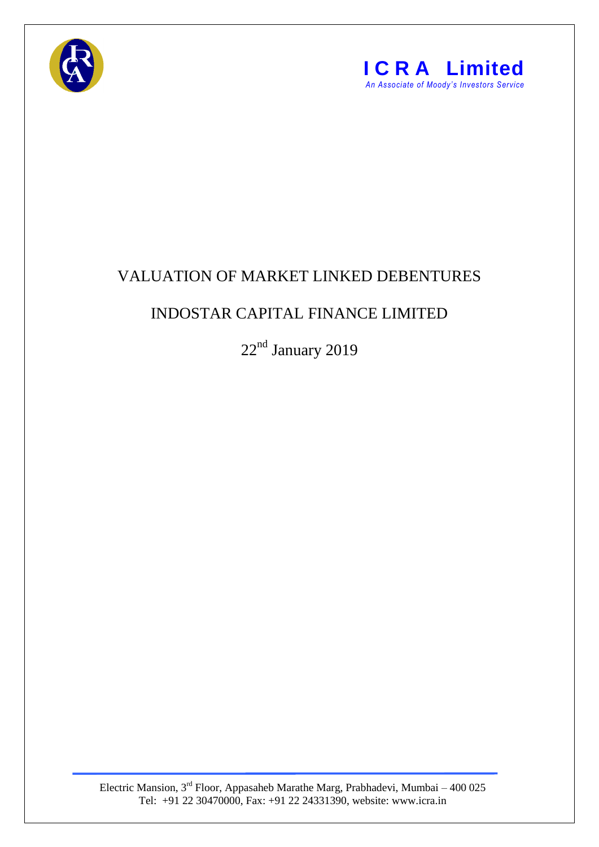



## VALUATION OF MARKET LINKED DEBENTURES

## INDOSTAR CAPITAL FINANCE LIMITED

22<sup>nd</sup> January 2019

Electric Mansion,  $3<sup>rd</sup>$  Floor, Appasaheb Marathe Marg, Prabhadevi, Mumbai – 400 025 Tel: +91 22 30470000, Fax: +91 22 24331390, website: www.icra.in